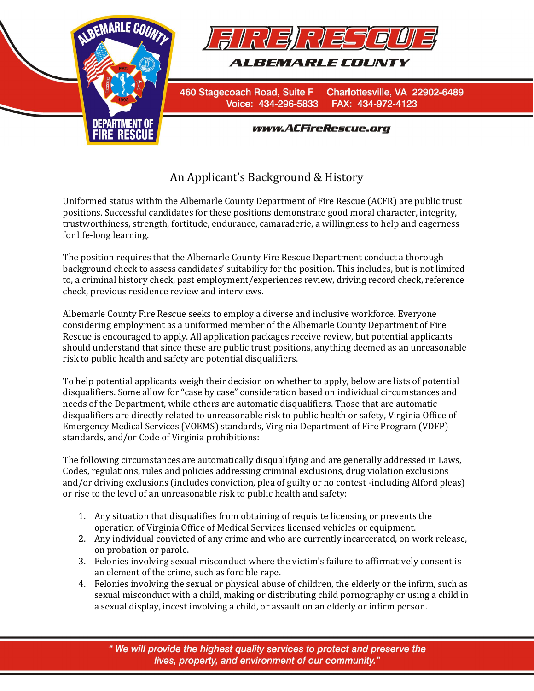

## An Applicant's Background & History

Uniformed status within the Albemarle County Department of Fire Rescue (ACFR) are public trust positions. Successful candidates for these positions demonstrate good moral character, integrity, trustworthiness, strength, fortitude, endurance, camaraderie, a willingness to help and eagerness for life-long learning.

The position requires that the Albemarle County Fire Rescue Department conduct a thorough background check to assess candidates' suitability for the position. This includes, but is not limited to, a criminal history check, past employment/experiences review, driving record check, reference check, previous residence review and interviews.

Albemarle County Fire Rescue seeks to employ a diverse and inclusive workforce. Everyone considering employment as a uniformed member of the Albemarle County Department of Fire Rescue is encouraged to apply. All application packages receive review, but potential applicants should understand that since these are public trust positions, anything deemed as an unreasonable risk to public health and safety are potential disqualifiers.

To help potential applicants weigh their decision on whether to apply, below are lists of potential disqualifiers. Some allow for "case by case" consideration based on individual circumstances and needs of the Department, while others are automatic disqualifiers. Those that are automatic disqualifiers are directly related to unreasonable risk to public health or safety, Virginia Office of Emergency Medical Services (VOEMS) standards, Virginia Department of Fire Program (VDFP) standards, and/or Code of Virginia prohibitions:

The following circumstances are automatically disqualifying and are generally addressed in Laws, Codes, regulations, rules and policies addressing criminal exclusions, drug violation exclusions and/or driving exclusions (includes conviction, plea of guilty or no contest -including Alford pleas) or rise to the level of an unreasonable risk to public health and safety:

- 1. Any situation that disqualifies from obtaining of requisite licensing or prevents the operation of Virginia Office of Medical Services licensed vehicles or equipment.
- 2. Any individual convicted of any crime and who are currently incarcerated, on work release, on probation or parole.
- 3. Felonies involving sexual misconduct where the victim's failure to affirmatively consent is an element of the crime, such as forcible rape.
- 4. Felonies involving the sexual or physical abuse of children, the elderly or the infirm, such as sexual misconduct with a child, making or distributing child pornography or using a child in a sexual display, incest involving a child, or assault on an elderly or infirm person.

"We will provide the highest quality services to protect and preserve the lives, property, and environment of our community."